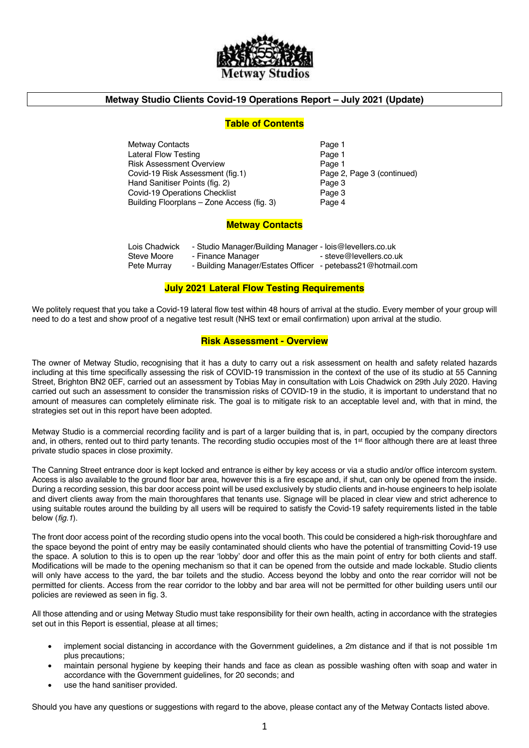

### **Metway Studio Clients Covid-19 Operations Report – July 2021 (Update)**

### **Table of Contents**

Metway Contacts **Page 1** Lateral Flow Testing **Page 1** Risk Assessment Overview Page 1 Covid-19 Risk Assessment (fig.1) Page 2, Page 3 (continued) Hand Sanitiser Points (fig. 2) Page 3 Covid-19 Operations Checklist **Page 3** Building Floorplans – Zone Access (fig. 3) Page 4

### **Metway Contacts**

| Lois Chadwick | - Studio Manager/Building Manager - lois@levellers.co.uk    |                         |
|---------------|-------------------------------------------------------------|-------------------------|
| Steve Moore   | - Finance Manager                                           | - steve@levellers.co.uk |
| Pete Murray   | - Building Manager/Estates Officer - petebass21@hotmail.com |                         |

### **July 2021 Lateral Flow Testing Requirements**

We politely request that you take a Covid-19 lateral flow test within 48 hours of arrival at the studio. Every member of your group will need to do a test and show proof of a negative test result (NHS text or email confirmation) upon arrival at the studio.

### **Risk Assessment - Overview**

The owner of Metway Studio, recognising that it has a duty to carry out a risk assessment on health and safety related hazards including at this time specifically assessing the risk of COVID-19 transmission in the context of the use of its studio at 55 Canning Street, Brighton BN2 0EF, carried out an assessment by Tobias May in consultation with Lois Chadwick on 29th July 2020. Having carried out such an assessment to consider the transmission risks of COVID-19 in the studio, it is important to understand that no amount of measures can completely eliminate risk. The goal is to mitigate risk to an acceptable level and, with that in mind, the strategies set out in this report have been adopted.

Metway Studio is a commercial recording facility and is part of a larger building that is, in part, occupied by the company directors and, in others, rented out to third party tenants. The recording studio occupies most of the 1<sup>st</sup> floor although there are at least three private studio spaces in close proximity.

The Canning Street entrance door is kept locked and entrance is either by key access or via a studio and/or office intercom system. Access is also available to the ground floor bar area, however this is a fire escape and, if shut, can only be opened from the inside. During a recording session, this bar door access point will be used exclusively by studio clients and in-house engineers to help isolate and divert clients away from the main thoroughfares that tenants use. Signage will be placed in clear view and strict adherence to using suitable routes around the building by all users will be required to satisfy the Covid-19 safety requirements listed in the table below (*fig.1*).

The front door access point of the recording studio opens into the vocal booth. This could be considered a high-risk thoroughfare and the space beyond the point of entry may be easily contaminated should clients who have the potential of transmitting Covid-19 use the space. A solution to this is to open up the rear 'lobby' door and offer this as the main point of entry for both clients and staff. Modifications will be made to the opening mechanism so that it can be opened from the outside and made lockable. Studio clients will only have access to the yard, the bar toilets and the studio. Access beyond the lobby and onto the rear corridor will not be permitted for clients. Access from the rear corridor to the lobby and bar area will not be permitted for other building users until our policies are reviewed as seen in fig. 3.

All those attending and or using Metway Studio must take responsibility for their own health, acting in accordance with the strategies set out in this Report is essential, please at all times;

- implement social distancing in accordance with the Government guidelines, a 2m distance and if that is not possible 1m plus precautions;
- maintain personal hygiene by keeping their hands and face as clean as possible washing often with soap and water in accordance with the Government guidelines, for 20 seconds; and
- use the hand sanitiser provided.

Should you have any questions or suggestions with regard to the above, please contact any of the Metway Contacts listed above.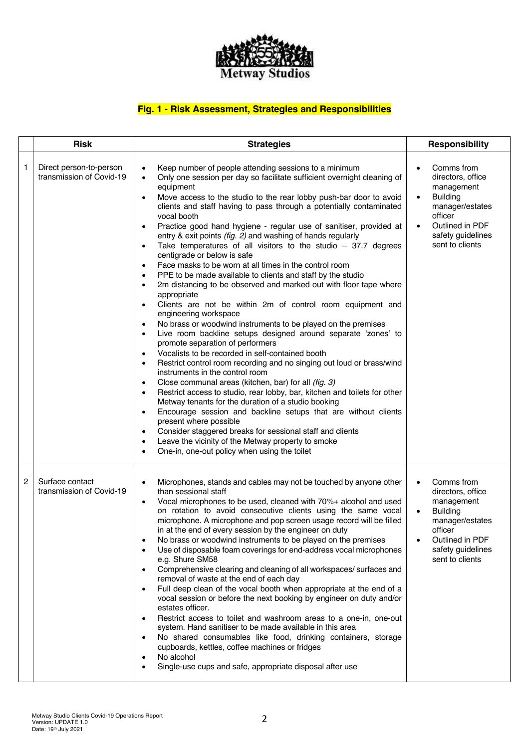

# **Fig. 1 - Risk Assessment, Strategies and Responsibilities**

|   | <b>Risk</b>                                         | <b>Strategies</b>                                                                                                                                                                                                                                                                                                                                                                                                                                                                                                                                                                                                                                                                                                                                                                                                                                                                                                                                                                                                                                                                                                                                                                                                                                                                                                                                                                                                                                                                                                                                                                                                                                                                                                                                                                                                              | <b>Responsibility</b>                                                                                                                                                                            |  |
|---|-----------------------------------------------------|--------------------------------------------------------------------------------------------------------------------------------------------------------------------------------------------------------------------------------------------------------------------------------------------------------------------------------------------------------------------------------------------------------------------------------------------------------------------------------------------------------------------------------------------------------------------------------------------------------------------------------------------------------------------------------------------------------------------------------------------------------------------------------------------------------------------------------------------------------------------------------------------------------------------------------------------------------------------------------------------------------------------------------------------------------------------------------------------------------------------------------------------------------------------------------------------------------------------------------------------------------------------------------------------------------------------------------------------------------------------------------------------------------------------------------------------------------------------------------------------------------------------------------------------------------------------------------------------------------------------------------------------------------------------------------------------------------------------------------------------------------------------------------------------------------------------------------|--------------------------------------------------------------------------------------------------------------------------------------------------------------------------------------------------|--|
| 1 | Direct person-to-person<br>transmission of Covid-19 | Keep number of people attending sessions to a minimum<br>$\bullet$<br>Only one session per day so facilitate sufficient overnight cleaning of<br>$\bullet$<br>equipment<br>Move access to the studio to the rear lobby push-bar door to avoid<br>clients and staff having to pass through a potentially contaminated<br>vocal booth<br>Practice good hand hygiene - regular use of sanitiser, provided at<br>$\bullet$<br>entry & exit points (fig. 2) and washing of hands regularly<br>Take temperatures of all visitors to the studio $-37.7$ degrees<br>centigrade or below is safe<br>Face masks to be worn at all times in the control room<br>$\bullet$<br>PPE to be made available to clients and staff by the studio<br>$\bullet$<br>2m distancing to be observed and marked out with floor tape where<br>$\bullet$<br>appropriate<br>Clients are not be within 2m of control room equipment and<br>engineering workspace<br>No brass or woodwind instruments to be played on the premises<br>Live room backline setups designed around separate 'zones' to<br>$\bullet$<br>promote separation of performers<br>Vocalists to be recorded in self-contained booth<br>$\bullet$<br>Restrict control room recording and no singing out loud or brass/wind<br>$\bullet$<br>instruments in the control room<br>Close communal areas (kitchen, bar) for all (fig. 3)<br>$\bullet$<br>Restrict access to studio, rear lobby, bar, kitchen and toilets for other<br>$\bullet$<br>Metway tenants for the duration of a studio booking<br>Encourage session and backline setups that are without clients<br>$\bullet$<br>present where possible<br>Consider staggered breaks for sessional staff and clients<br>Leave the vicinity of the Metway property to smoke<br>One-in, one-out policy when using the toilet<br>$\bullet$ | Comms from<br>$\bullet$<br>directors, office<br>management<br><b>Building</b><br>$\bullet$<br>manager/estates<br>officer<br>Outlined in PDF<br>$\bullet$<br>safety guidelines<br>sent to clients |  |
| 2 | Surface contact<br>transmission of Covid-19         | Microphones, stands and cables may not be touched by anyone other<br>$\bullet$<br>than sessional staff<br>Vocal microphones to be used, cleaned with 70%+ alcohol and used<br>on rotation to avoid consecutive clients using the same vocal<br>microphone. A microphone and pop screen usage record will be filled<br>in at the end of every session by the engineer on duty<br>No brass or woodwind instruments to be played on the premises<br>Use of disposable foam coverings for end-address vocal microphones<br>e.g. Shure SM58<br>Comprehensive clearing and cleaning of all workspaces/ surfaces and<br>removal of waste at the end of each day<br>Full deep clean of the vocal booth when appropriate at the end of a<br>vocal session or before the next booking by engineer on duty and/or<br>estates officer.<br>Restrict access to toilet and washroom areas to a one-in, one-out<br>system. Hand sanitiser to be made available in this area<br>No shared consumables like food, drinking containers, storage<br>cupboards, kettles, coffee machines or fridges<br>No alcohol<br>Single-use cups and safe, appropriate disposal after use                                                                                                                                                                                                                                                                                                                                                                                                                                                                                                                                                                                                                                                                       | Comms from<br>$\bullet$<br>directors, office<br>management<br><b>Building</b><br>$\bullet$<br>manager/estates<br>officer<br>Outlined in PDF<br>$\bullet$<br>safety guidelines<br>sent to clients |  |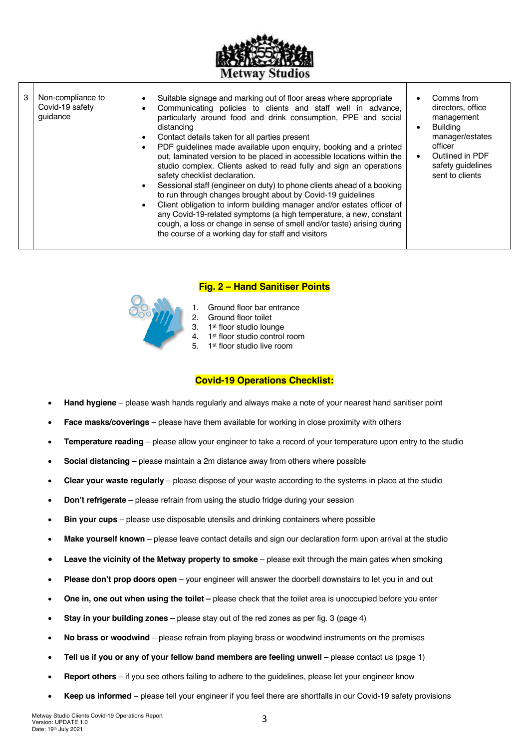

| 3 | Non-compliance to<br>Covid-19 safety<br>quidance | Suitable signage and marking out of floor areas where appropriate<br>٠<br>Communicating policies to clients and staff well in advance,<br>particularly around food and drink consumption, PPE and social<br>distancing<br>Contact details taken for all parties present<br>٠<br>PDF guidelines made available upon enquiry, booking and a printed<br>$\bullet$<br>out, laminated version to be placed in accessible locations within the<br>studio complex. Clients asked to read fully and sign an operations<br>safety checklist declaration.<br>Sessional staff (engineer on duty) to phone clients ahead of a booking<br>to run through changes brought about by Covid-19 guidelines<br>Client obligation to inform building manager and/or estates officer of<br>٠<br>any Covid-19-related symptoms (a high temperature, a new, constant<br>cough, a loss or change in sense of smell and/or taste) arising during<br>the course of a working day for staff and visitors |  | Comms from<br>directors, office<br>management<br><b>Building</b><br>manager/estates<br>officer<br>Outlined in PDF<br>safety guidelines<br>sent to clients |
|---|--------------------------------------------------|-------------------------------------------------------------------------------------------------------------------------------------------------------------------------------------------------------------------------------------------------------------------------------------------------------------------------------------------------------------------------------------------------------------------------------------------------------------------------------------------------------------------------------------------------------------------------------------------------------------------------------------------------------------------------------------------------------------------------------------------------------------------------------------------------------------------------------------------------------------------------------------------------------------------------------------------------------------------------------|--|-----------------------------------------------------------------------------------------------------------------------------------------------------------|
|---|--------------------------------------------------|-------------------------------------------------------------------------------------------------------------------------------------------------------------------------------------------------------------------------------------------------------------------------------------------------------------------------------------------------------------------------------------------------------------------------------------------------------------------------------------------------------------------------------------------------------------------------------------------------------------------------------------------------------------------------------------------------------------------------------------------------------------------------------------------------------------------------------------------------------------------------------------------------------------------------------------------------------------------------------|--|-----------------------------------------------------------------------------------------------------------------------------------------------------------|

### **Fig. 2 – Hand Sanitiser Points**

- 1. Ground floor bar entrance<br>2. Ground floor toilet
- 2. Ground floor toilet<br>3. 1<sup>st</sup> floor studio loun
- 1<sup>st</sup> floor studio lounge
- 4. 1st floor studio control room
- 5. 1st floor studio live room

## **Covid-19 Operations Checklist:**

- **Hand hygiene** please wash hands regularly and always make a note of your nearest hand sanitiser point
- **Face masks/coverings** please have them available for working in close proximity with others
- **Temperature reading** please allow your engineer to take a record of your temperature upon entry to the studio
- **Social distancing**  please maintain a 2m distance away from others where possible
- **Clear your waste regularly**  please dispose of your waste according to the systems in place at the studio
- **Don't refrigerate** please refrain from using the studio fridge during your session
- **Bin your cups** please use disposable utensils and drinking containers where possible
- **Make yourself known** please leave contact details and sign our declaration form upon arrival at the studio
- **Leave the vicinity of the Metway property to smoke** please exit through the main gates when smoking
- **Please don't prop doors open** your engineer will answer the doorbell downstairs to let you in and out
- **One in, one out when using the toilet –** please check that the toilet area is unoccupied before you enter
- **Stay in your building zones**  please stay out of the red zones as per fig. 3 (page 4)
- **No brass or woodwind** please refrain from playing brass or woodwind instruments on the premises
- **Tell us if you or any of your fellow band members are feeling unwell**  please contact us (page 1)
- **Report others**  if you see others failing to adhere to the guidelines, please let your engineer know
- **Keep us informed** please tell your engineer if you feel there are shortfalls in our Covid-19 safety provisions